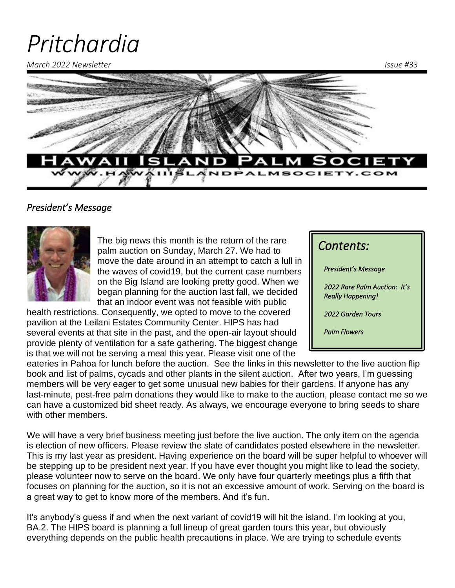# *Pritchardia*

*March 2022 Newsletter Issue #33*



#### *President's Message*



The big news this month is the return of the rare palm auction on Sunday, March 27. We had to move the date around in an attempt to catch a lull in the waves of covid19, but the current case numbers on the Big Island are looking pretty good. When we began planning for the auction last fall, we decided that an indoor event was not feasible with public

health restrictions. Consequently, we opted to move to the covered pavilion at the Leilani Estates Community Center. HIPS has had several events at that site in the past, and the open-air layout should provide plenty of ventilation for a safe gathering. The biggest change is that we will not be serving a meal this year. Please visit one of the

| Contents:                                                |
|----------------------------------------------------------|
| President's Message                                      |
| 2022 Rare Palm Auction: It's<br><b>Really Happening!</b> |
| 2022 Garden Tours                                        |
| <b>Palm Flowers</b>                                      |
|                                                          |

eateries in Pahoa for lunch before the auction. See the links in this newsletter to the live auction flip book and list of palms, cycads and other plants in the silent auction. After two years, I'm guessing members will be very eager to get some unusual new babies for their gardens. If anyone has any last-minute, pest-free palm donations they would like to make to the auction, please contact me so we can have a customized bid sheet ready. As always, we encourage everyone to bring seeds to share with other members.

We will have a very brief business meeting just before the live auction. The only item on the agenda is election of new officers. Please review the slate of candidates posted elsewhere in the newsletter. This is my last year as president. Having experience on the board will be super helpful to whoever will be stepping up to be president next year. If you have ever thought you might like to lead the society, please volunteer now to serve on the board. We only have four quarterly meetings plus a fifth that focuses on planning for the auction, so it is not an excessive amount of work. Serving on the board is a great way to get to know more of the members. And it's fun.

It's anybody's guess if and when the next variant of covid19 will hit the island. I'm looking at you, BA.2. The HIPS board is planning a full lineup of great garden tours this year, but obviously everything depends on the public health precautions in place. We are trying to schedule events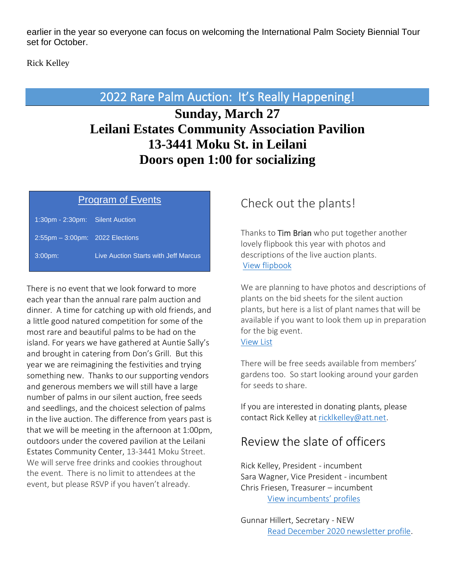earlier in the year so everyone can focus on welcoming the International Palm Society Biennial Tour set for October.

Rick Kelley

## 2022 Rare Palm Auction: It's Really Happening!

# **Sunday, March 27 Leilani Estates Community Association Pavilion 13-3441 Moku St. in Leilani Doors open 1:00 for socializing**

#### Program of Events

| $1:30$ pm - 2:30pm:                  | <b>Silent Auction</b>                |
|--------------------------------------|--------------------------------------|
| $2:55$ pm $-3:00$ pm: 2022 Elections |                                      |
| 3:00 <sub>pm</sub>                   | Live Auction Starts with Jeff Marcus |

There is no event that we look forward to more each year than the annual rare palm auction and dinner. A time for catching up with old friends, and a little good natured competition for some of the most rare and beautiful palms to be had on the island. For years we have gathered at Auntie Sally's and brought in catering from Don's Grill. But this year we are reimagining the festivities and trying something new. Thanks to our supporting vendors and generous members we will still have a large number of palms in our silent auction, free seeds and seedlings, and the choicest selection of palms in the live auction. The difference from years past is that we will be meeting in the afternoon at 1:00pm, outdoors under the covered pavilion at the Leilani Estates Community Center, 13-3441 Moku Street. We will serve free drinks and cookies throughout the event. There is no limit to attendees at the event, but please RSVP if you haven't already.

## Check out the plants!

Thanks to Tim Brian who put together another lovely flipbook this year with photos and descriptions of the live auction plants. [View flipbook](https://www.flipsnack.com/realarch/hips-202-rare-palm-auction.html)

We are planning to have photos and descriptions of plants on the bid sheets for the silent auction plants, but here is a list of plant names that will be available if you want to look them up in preparation for the big event.

#### [View List](https://www.hawaiiislandpalmsociety.com/resources/2022%20Silent%20Auction%20plant%20list%20alpha.pdf)

There will be free seeds available from members' gardens too. So start looking around your garden for seeds to share.

If you are interested in donating plants, please contact Rick Kelley at [ricklkelley@att.net.](mailto:ricklkelley@att.net)

#### Review the slate of officers

Rick Kelley, President - incumbent Sara Wagner, Vice President - incumbent Chris Friesen, Treasurer – incumbent [View incumbents' profiles](https://www.hawaiiislandpalmsociety.com/page-18060)

Gunnar Hillert, Secretary - NEW [Read December 2020 newsletter profile.](https://www.hawaiiislandpalmsociety.com/resources/Documents/HIPS%20Newsletter%20December%202020.pdf)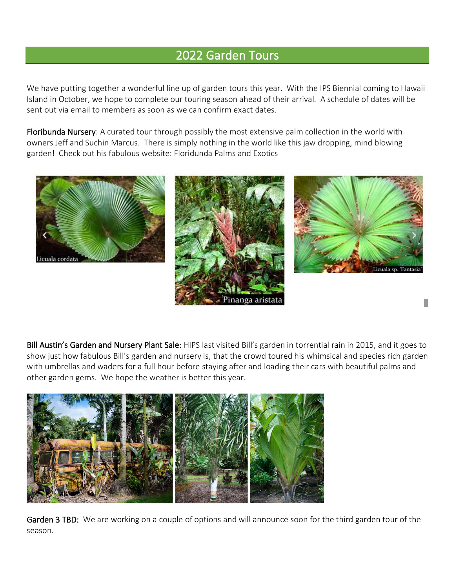## 2022 Garden Tours

We have putting together a wonderful line up of garden tours this year. With the IPS Biennial coming to Hawaii Island in October, we hope to complete our touring season ahead of their arrival. A schedule of dates will be sent out via email to members as soon as we can confirm exact dates.

Floribunda Nursery: A curated tour through possibly the most extensive palm collection in the world with owners Jeff and Suchin Marcus. There is simply nothing in the world like this jaw dropping, mind blowing garden! Check out his fabulous website: Floridunda Palms and Exotics



Bill Austin's Garden and Nursery Plant Sale: HIPS last visited Bill's garden in torrential rain in 2015, and it goes to show just how fabulous Bill's garden and nursery is, that the crowd toured his whimsical and species rich garden with umbrellas and waders for a full hour before staying after and loading their cars with beautiful palms and other garden gems. We hope the weather is better this year.



Garden 3 TBD: We are working on a couple of options and will announce soon for the third garden tour of the season.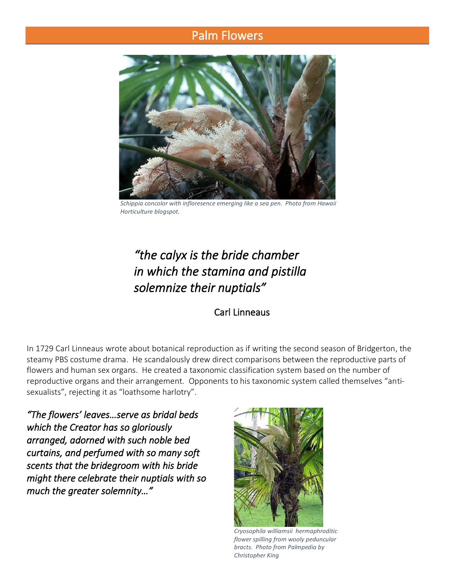### Palm Flowers



*Schippia concolor with infloresence emerging like a sea pen. Photo from Hawaii Horticulture blogspot.*

# *"the calyx is the bride chamber in which the stamina and pistilla solemnize their nuptials"*

#### Carl Linneaus

In 1729 Carl Linneaus wrote about botanical reproduction as if writing the second season of Bridgerton, the steamy PBS costume drama. He scandalously drew direct comparisons between the reproductive parts of flowers and human sex organs. He created a taxonomic classification system based on the number of reproductive organs and their arrangement. Opponents to his taxonomic system called themselves "antisexualists", rejecting it as "loathsome harlotry".

*"The flowers' leaves…serve as bridal beds which the Creator has so gloriously arranged, adorned with such noble bed curtains, and perfumed with so many soft scents that the bridegroom with his bride might there celebrate their nuptials with so much the greater solemnity…"* 



*Cryosophila williamsii hermaphroditic flower spilling from wooly peduncular bracts. Photo from Palmpedia by Christopher King*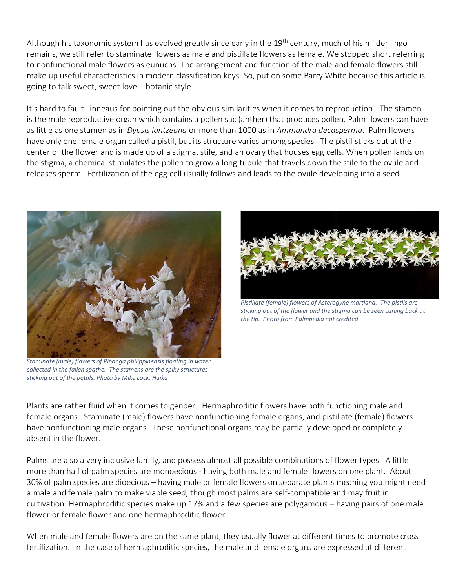Although his taxonomic system has evolved greatly since early in the 19<sup>th</sup> century, much of his milder lingo remains, we still refer to staminate flowers as male and pistillate flowers as female. We stopped short referring to nonfunctional male flowers as eunuchs. The arrangement and function of the male and female flowers still make up useful characteristics in modern classification keys. So, put on some Barry White because this article is going to talk sweet, sweet love – botanic style.

It's hard to fault Linneaus for pointing out the obvious similarities when it comes to reproduction. The stamen is the male reproductive organ which contains a pollen sac (anther) that produces pollen. Palm flowers can have as little as one stamen as in *Dypsis lantzeana* or more than 1000 as in *Ammandra decasperma*. Palm flowers have only one female organ called a pistil, but its structure varies among species. The pistil sticks out at the center of the flower and is made up of a stigma, stile, and an ovary that houses egg cells. When pollen lands on the stigma, a chemical stimulates the pollen to grow a long tubule that travels down the stile to the ovule and releases sperm. Fertilization of the egg cell usually follows and leads to the ovule developing into a seed.



*Staminate (male) flowers of Pinanga philippinensis floating in water collected in the fallen spathe. The stamens are the spiky structures sticking out of the petals. Photo by Mike Lock, Haiku*



*Pistillate (female) flowers of Asterogyne martiana. The pistils are sticking out of the flower and the stigma can be seen curling back at the tip. Photo from Palmpedia not credited.*

Plants are rather fluid when it comes to gender. Hermaphroditic flowers have both functioning male and female organs. Staminate (male) flowers have nonfunctioning female organs, and pistillate (female) flowers have nonfunctioning male organs. These nonfunctional organs may be partially developed or completely absent in the flower.

Palms are also a very inclusive family, and possess almost all possible combinations of flower types. A little more than half of palm species are monoecious - having both male and female flowers on one plant. About 30% of palm species are dioecious – having male or female flowers on separate plants meaning you might need a male and female palm to make viable seed, though most palms are self-compatible and may fruit in cultivation. Hermaphroditic species make up 17% and a few species are polygamous – having pairs of one male flower or female flower and one hermaphroditic flower.

When male and female flowers are on the same plant, they usually flower at different times to promote cross fertilization. In the case of hermaphroditic species, the male and female organs are expressed at different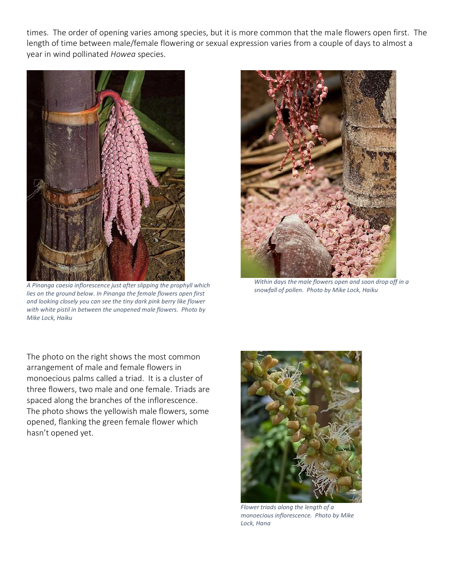times. The order of opening varies among species, but it is more common that the male flowers open first. The length of time between male/female flowering or sexual expression varies from a couple of days to almost a year in wind pollinated *Howea* species.



*A Pinanga caesia inflorescence just after slipping the prophyll which lies on the ground below. In Pinanga the female flowers open first and looking closely you can see the tiny dark pink berry like flower with white pistil in between the unopened male flowers. Photo by Mike Lock, Haiku*



*Within days the male flowers open and soon drop off in a snowfall of pollen. Photo by Mike Lock, Haiku*

The photo on the right shows the most common arrangement of male and female flowers in monoecious palms called a triad. It is a cluster of three flowers, two male and one female. Triads are spaced along the branches of the inflorescence. The photo shows the yellowish male flowers, some opened, flanking the green female flower which hasn't opened yet.



*Flower triads along the length of a monoecious inflorescence. Photo by Mike Lock, Hana*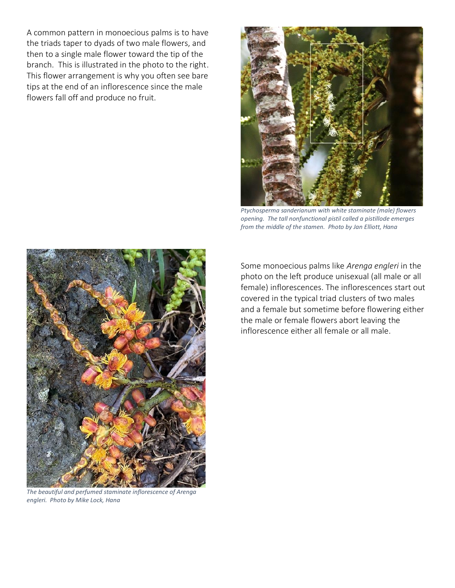A common pattern in monoecious palms is to have the triads taper to dyads of two male flowers, and then to a single male flower toward the tip of the branch. This is illustrated in the photo to the right. This flower arrangement is why you often see bare tips at the end of an inflorescence since the male flowers fall off and produce no fruit.



*Ptychosperma sanderianum with white staminate (male) flowers opening. The tall nonfunctional pistil called a pistillode emerges from the middle of the stamen. Photo by Jan Elliott, Hana*



*The beautiful and perfumed staminate inflorescence of Arenga engleri. Photo by Mike Lock, Hana*

Some monoecious palms like *Arenga engleri* in the photo on the left produce unisexual (all male or all female) inflorescences. The inflorescences start out covered in the typical triad clusters of two males and a female but sometime before flowering either the male or female flowers abort leaving the inflorescence either all female or all male.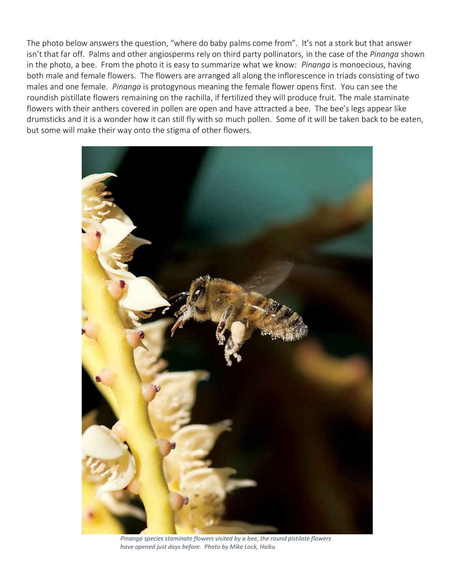The photo below answers the question, "where do baby palms come from". It's not a stork but that answer isn't that far off. Palms and other angiosperms rely on third party pollinators, in the case of the *Pinanga* shown in the photo, a bee. From the photo it is easy to summarize what we know: *Pinanga* is monoecious, having both male and female flowers. The flowers are arranged all along the inflorescence in triads consisting of two males and one female. *Pinanga* is protogynous meaning the female flower opens first. You can see the roundish pistillate flowers remaining on the rachilla, if fertilized they will produce fruit. The male staminate flowers with their anthers covered in pollen are open and have attracted a bee. The bee's legs appear like drumsticks and it is a wonder how it can still fly with so much pollen. Some of it will be taken back to be eaten, but some will make their way onto the stigma of other flowers.



*Pinanga species staminate flowers visited by a bee, the round pistilate flowers have opened just days before. Photo by Mike Lock, Haiku*